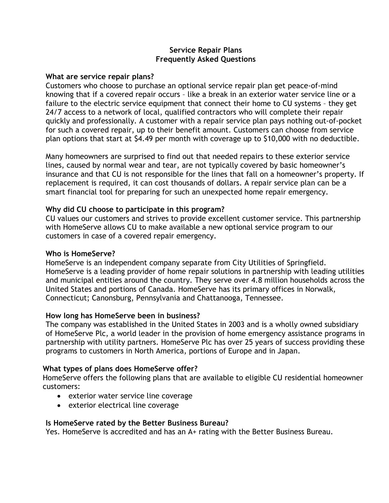# **Service Repair Plans Frequently Asked Questions**

### **What are service repair plans?**

Customers who choose to purchase an optional service repair plan get peace-of-mind knowing that if a covered repair occurs – like a break in an exterior water service line or a failure to the electric service equipment that connect their home to CU systems – they get 24/7 access to a network of local, qualified contractors who will complete their repair quickly and professionally. A customer with a repair service plan pays nothing out-of-pocket for such a covered repair, up to their benefit amount. Customers can choose from service plan options that start at \$4.49 per month with coverage up to \$10,000 with no deductible.

Many homeowners are surprised to find out that needed repairs to these exterior service lines, caused by normal wear and tear, are not typically covered by basic homeowner's insurance and that CU is not responsible for the lines that fall on a homeowner's property. If replacement is required, it can cost thousands of dollars. A repair service plan can be a smart financial tool for preparing for such an unexpected home repair emergency.

### **Why did CU choose to participate in this program?**

CU values our customers and strives to provide excellent customer service. This partnership with HomeServe allows CU to make available a new optional service program to our customers in case of a covered repair emergency.

#### **Who is HomeServe?**

HomeServe is an independent company separate from City Utilities of Springfield. HomeServe is a leading provider of home repair solutions in partnership with leading utilities and municipal entities around the country. They serve over 4.8 million households across the United States and portions of Canada. HomeServe has its primary offices in Norwalk, Connecticut; Canonsburg, Pennsylvania and Chattanooga, Tennessee.

### **How long has HomeServe been in business?**

The company was established in the United States in 2003 and is a wholly owned subsidiary of HomeServe Plc, a world leader in the provision of home emergency assistance programs in partnership with utility partners. HomeServe Plc has over 25 years of success providing these programs to customers in North America, portions of Europe and in Japan.

### **What types of plans does HomeServe offer?**

HomeServe offers the following plans that are available to eligible CU residential homeowner customers:

- exterior water service line coverage
- exterior electrical line coverage

### **Is HomeServe rated by the Better Business Bureau?**

Yes. HomeServe is accredited and has an A+ rating with the Better Business Bureau.